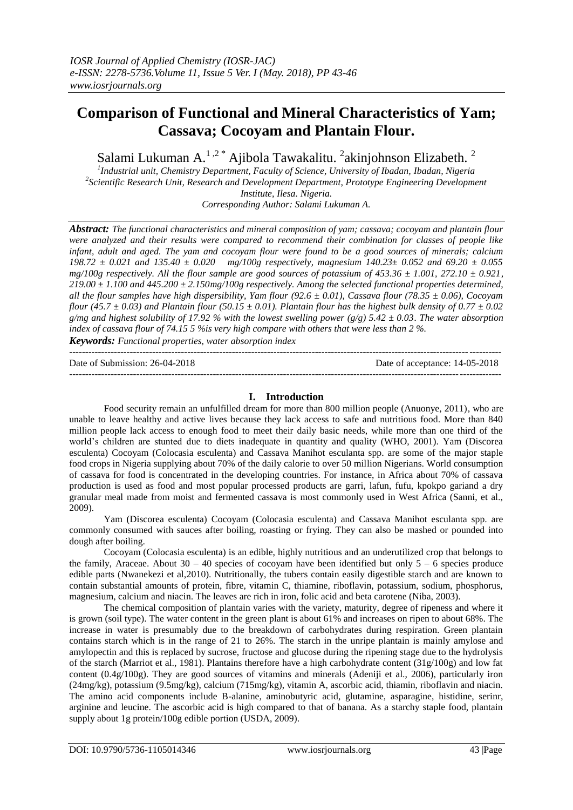# **Comparison of Functional and Mineral Characteristics of Yam; Cassava; Cocoyam and Plantain Flour.**

Salami Lukuman A.<sup>1,2\*</sup> Ajibola Tawakalitu. <sup>2</sup>akinjohnson Elizabeth. <sup>2</sup>

*1 Industrial unit, Chemistry Department, Faculty of Science, University of Ibadan, Ibadan, Nigeria 2 Scientific Research Unit, Research and Development Department, Prototype Engineering Development Institute, Ilesa. Nigeria. Corresponding Author: Salami Lukuman A.*

*Abstract: The functional characteristics and mineral composition of yam; cassava; cocoyam and plantain flour were analyzed and their results were compared to recommend their combination for classes of people like infant, adult and aged. The yam and cocoyam flour were found to be a good sources of minerals; calcium 198.72 ± 0.021 and 135.40 ± 0.020 mg/100g respectively, magnesium 140.23± 0.052 and 69.20 ± 0.055 mg/100g respectively. All the flour sample are good sources of potassium of 453.36 ± 1.001, 272.10 ± 0.921, 219.00 ± 1.100 and 445.200 ± 2.150mg/100g respectively. Among the selected functional properties determined, all the flour samples have high dispersibility, Yam flour (92.6 ± 0.01), Cassava flour (78.35 ± 0.06), Cocoyam flour (45.7*  $\pm$  *0.03) and Plantain flour (50.15*  $\pm$  *0.01). Plantain flour has the highest bulk density of 0.77*  $\pm$  *0.02 g/mg and highest solubility of 17.92 % with the lowest swelling power (g/g) 5.42 ± 0.03. The water absorption index of cassava flour of 74.15 5 %is very high compare with others that were less than 2 %. Keywords: Functional properties, water absorption index*

---------------------------------------------------------------------------------------------------------------------------------------

Date of Submission: 26-04-2018 Date of acceptance: 14-05-2018

### **I. Introduction**

---------------------------------------------------------------------------------------------------------------------------------------

Food security remain an unfulfilled dream for more than 800 million people (Anuonye, 2011), who are unable to leave healthy and active lives because they lack access to safe and nutritious food. More than 840 million people lack access to enough food to meet their daily basic needs, while more than one third of the world's children are stunted due to diets inadequate in quantity and quality (WHO, 2001). Yam (Discorea esculenta) Cocoyam (Colocasia esculenta) and Cassava Manihot esculanta spp. are some of the major staple food crops in Nigeria supplying about 70% of the daily calorie to over 50 million Nigerians. World consumption of cassava for food is concentrated in the developing countries. For instance, in Africa about 70% of cassava production is used as food and most popular processed products are garri, lafun, fufu, kpokpo gariand a dry granular meal made from moist and fermented cassava is most commonly used in West Africa (Sanni, et al., 2009).

Yam (Discorea esculenta) Cocoyam (Colocasia esculenta) and Cassava Manihot esculanta spp. are commonly consumed with sauces after boiling, roasting or frying. They can also be mashed or pounded into dough after boiling.

Cocoyam (Colocasia esculenta) is an edible, highly nutritious and an underutilized crop that belongs to the family, Araceae. About  $30 - 40$  species of cocoyam have been identified but only  $5 - 6$  species produce edible parts (Nwanekezi et al,2010). Nutritionally, the tubers contain easily digestible starch and are known to contain substantial amounts of protein, fibre, vitamin C, thiamine, riboflavin, potassium, sodium, phosphorus, magnesium, calcium and niacin. The leaves are rich in iron, folic acid and beta carotene (Niba, 2003).

The chemical composition of plantain varies with the variety, maturity, degree of ripeness and where it is grown (soil type). The water content in the green plant is about 61% and increases on ripen to about 68%. The increase in water is presumably due to the breakdown of carbohydrates during respiration. Green plantain contains starch which is in the range of 21 to 26%. The starch in the unripe plantain is mainly amylose and amylopectin and this is replaced by sucrose, fructose and glucose during the ripening stage due to the hydrolysis of the starch (Marriot et al., 1981). Plantains therefore have a high carbohydrate content (31g/100g) and low fat content (0.4g/100g). They are good sources of vitamins and minerals (Adeniji et al., 2006), particularly iron (24mg/kg), potassium (9.5mg/kg), calcium (715mg/kg), vitamin A, ascorbic acid, thiamin, riboflavin and niacin. The amino acid components include B-alanine, aminobutyric acid, glutamine, asparagine, histidine, serinr, arginine and leucine. The ascorbic acid is high compared to that of banana. As a starchy staple food, plantain supply about 1g protein/100g edible portion (USDA, 2009).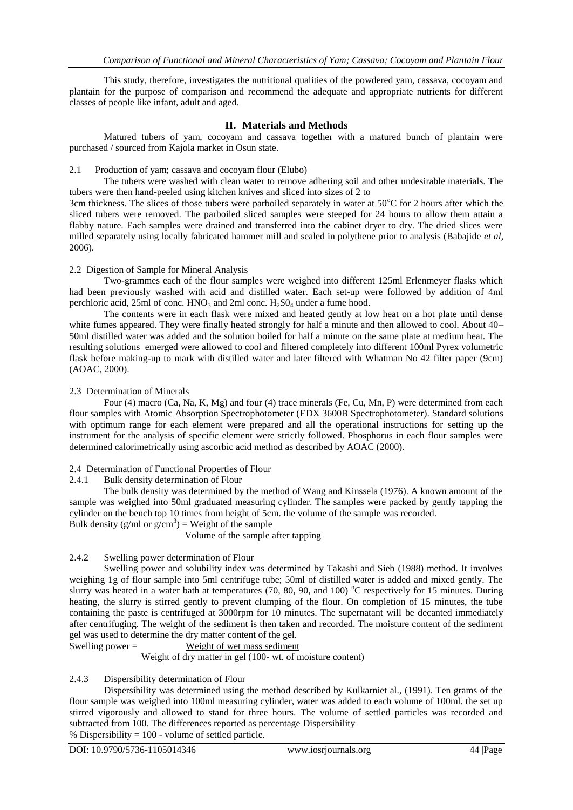This study, therefore, investigates the nutritional qualities of the powdered yam, cassava, cocoyam and plantain for the purpose of comparison and recommend the adequate and appropriate nutrients for different classes of people like infant, adult and aged.

# **II. Materials and Methods**

Matured tubers of yam, cocoyam and cassava together with a matured bunch of plantain were purchased / sourced from Kajola market in Osun state.

## 2.1 Production of yam; cassava and cocoyam flour (Elubo)

The tubers were washed with clean water to remove adhering soil and other undesirable materials. The tubers were then hand-peeled using kitchen knives and sliced into sizes of 2 to

3cm thickness. The slices of those tubers were parboiled separately in water at 50°C for 2 hours after which the sliced tubers were removed. The parboiled sliced samples were steeped for 24 hours to allow them attain a flabby nature. Each samples were drained and transferred into the cabinet dryer to dry. The dried slices were milled separately using locally fabricated hammer mill and sealed in polythene prior to analysis (Babajide *et al,*  2006).

### 2.2 Digestion of Sample for Mineral Analysis

Two-grammes each of the flour samples were weighed into different 125ml Erlenmeyer flasks which had been previously washed with acid and distilled water. Each set-up were followed by addition of 4ml perchloric acid,  $25$ ml of conc. HNO<sub>3</sub> and  $2$ ml conc. H<sub>2</sub>SO<sub>4</sub> under a fume hood.

The contents were in each flask were mixed and heated gently at low heat on a hot plate until dense white fumes appeared. They were finally heated strongly for half a minute and then allowed to cool. About 40– 50ml distilled water was added and the solution boiled for half a minute on the same plate at medium heat. The resulting solutions emerged were allowed to cool and filtered completely into different 100ml Pyrex volumetric flask before making-up to mark with distilled water and later filtered with Whatman No 42 filter paper (9cm) (AOAC, 2000).

### 2.3 Determination of Minerals

Four (4) macro (Ca, Na, K, Mg) and four (4) trace minerals (Fe, Cu, Mn, P) were determined from each flour samples with Atomic Absorption Spectrophotometer (EDX 3600B Spectrophotometer). Standard solutions with optimum range for each element were prepared and all the operational instructions for setting up the instrument for the analysis of specific element were strictly followed. Phosphorus in each flour samples were determined calorimetrically using ascorbic acid method as described by AOAC (2000).

# 2.4 Determination of Functional Properties of Flour

# 2.4.1 Bulk density determination of Flour

The bulk density was determined by the method of Wang and Kinssela (1976). A known amount of the sample was weighed into 50ml graduated measuring cylinder. The samples were packed by gently tapping the cylinder on the bench top 10 times from height of 5cm. the volume of the sample was recorded. Bulk density (g/ml or  $g/cm^3$ ) = Weight of the sample

Volume of the sample after tapping

# 2.4.2 Swelling power determination of Flour

Swelling power and solubility index was determined by Takashi and Sieb (1988) method. It involves weighing 1g of flour sample into 5ml centrifuge tube; 50ml of distilled water is added and mixed gently. The slurry was heated in a water bath at temperatures (70, 80, 90, and 100)  $^{\circ}$ C respectively for 15 minutes. During heating, the slurry is stirred gently to prevent clumping of the flour. On completion of 15 minutes, the tube containing the paste is centrifuged at 3000rpm for 10 minutes. The supernatant will be decanted immediately after centrifuging. The weight of the sediment is then taken and recorded. The moisture content of the sediment gel was used to determine the dry matter content of the gel.

Swelling power = Weight of wet mass sediment

Weight of dry matter in gel (100- wt. of moisture content)

# 2.4.3 Dispersibility determination of Flour

Dispersibility was determined using the method described by Kulkarniet al., (1991). Ten grams of the flour sample was weighed into 100ml measuring cylinder, water was added to each volume of 100ml. the set up stirred vigorously and allowed to stand for three hours. The volume of settled particles was recorded and subtracted from 100. The differences reported as percentage Dispersibility % Dispersibility  $= 100$  - volume of settled particle.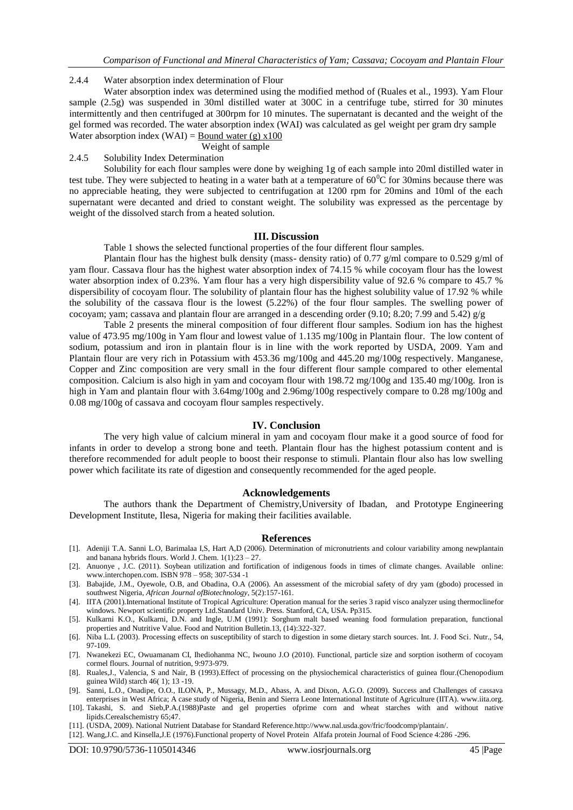#### 2.4.4 Water absorption index determination of Flour

Water absorption index was determined using the modified method of (Ruales et al., 1993). Yam Flour sample (2.5g) was suspended in 30ml distilled water at 300C in a centrifuge tube, stirred for 30 minutes intermittently and then centrifuged at 300rpm for 10 minutes. The supernatant is decanted and the weight of the gel formed was recorded. The water absorption index (WAI) was calculated as gel weight per gram dry sample Water absorption index (WAI) =  $\frac{\text{Bound water (g)} \times 100}{\text{Total water (h)} \times 100}$ 

Weight of sample

#### 2.4.5 Solubility Index Determination

Solubility for each flour samples were done by weighing 1g of each sample into 20ml distilled water in test tube. They were subjected to heating in a water bath at a temperature of  $60^{\circ}$ C for 30mins because there was no appreciable heating, they were subjected to centrifugation at 1200 rpm for 20mins and 10ml of the each supernatant were decanted and dried to constant weight. The solubility was expressed as the percentage by weight of the dissolved starch from a heated solution.

#### **III. Discussion**

Table 1 shows the selected functional properties of the four different flour samples.

Plantain flour has the highest bulk density (mass- density ratio) of 0.77 g/ml compare to 0.529 g/ml of yam flour. Cassava flour has the highest water absorption index of 74.15 % while cocoyam flour has the lowest water absorption index of 0.23%. Yam flour has a very high dispersibility value of 92.6 % compare to 45.7 % dispersibility of cocoyam flour. The solubility of plantain flour has the highest solubility value of 17.92 % while the solubility of the cassava flour is the lowest (5.22%) of the four flour samples. The swelling power of cocoyam; yam; cassava and plantain flour are arranged in a descending order (9.10; 8.20; 7.99 and 5.42)  $g/g$ 

Table 2 presents the mineral composition of four different flour samples. Sodium ion has the highest value of 473.95 mg/100g in Yam flour and lowest value of 1.135 mg/100g in Plantain flour. The low content of sodium, potassium and iron in plantain flour is in line with the work reported by USDA, 2009. Yam and Plantain flour are very rich in Potassium with 453.36 mg/100g and 445.20 mg/100g respectively. Manganese, Copper and Zinc composition are very small in the four different flour sample compared to other elemental composition. Calcium is also high in yam and cocoyam flour with 198.72 mg/100g and 135.40 mg/100g. Iron is high in Yam and plantain flour with  $3.64 \text{mg}/100g$  and  $2.96 \text{mg}/100g$  respectively compare to 0.28 mg/100g and 0.08 mg/100g of cassava and cocoyam flour samples respectively.

#### **IV. Conclusion**

The very high value of calcium mineral in yam and cocoyam flour make it a good source of food for infants in order to develop a strong bone and teeth. Plantain flour has the highest potassium content and is therefore recommended for adult people to boost their response to stimuli. Plantain flour also has low swelling power which facilitate its rate of digestion and consequently recommended for the aged people.

#### **Acknowledgements**

The authors thank the Department of Chemistry,University of Ibadan, and Prototype Engineering Development Institute, Ilesa, Nigeria for making their facilities available.

#### **References**

- [1]. Adeniji T.A. Sanni L.O, Barimalaa I,S, Hart A,D (2006). Determination of micronutrients and colour variability among newplantain and banana hybrids flours. World J. Chem.  $1(1):23 - 27$ .
- [2]. Anuonye , J.C. (2011). Soybean utilization and fortification of indigenous foods in times of climate changes. Available online: [www.interchopen.com.](http://www.interchopen.com/) ISBN 978 – 958; 307-534 -1
- [3]. Babajide, J.M., Oyewole, O.B, and Obadina, O.A (2006). An assessment of the microbial safety of dry yam (gbodo) processed in southwest Nigeria, *African Journal ofBiotechnology*, 5(2):157-161.
- [4]. IITA (2001).International Institute of Tropical Agriculture: Operation manual for the series 3 rapid visco analyzer using thermoclinefor windows. Newport scientific property Ltd.Standard Univ. Press. Stanford, CA, USA. Pp315.
- [5]. Kulkarni K.O., Kulkarni, D.N. and Ingle, U.M (1991): Sorghum malt based weaning food formulation preparation, functional properties and Nutritive Value. Food and Nutrition Bulletin.13, (14):322-327.
- [6]. Niba L.L (2003). Processing effects on susceptibility of starch to digestion in some dietary starch sources. Int. J. Food Sci. Nutr., 54, 97-109.
- [7]. Nwanekezi EC, Owuamanam CI, Ihediohanma NC, Iwouno J.O (2010). Functional, particle size and sorption isotherm of cocoyam cormel flours. Journal of nutrition, 9:973-979.
- [8]. Ruales,J., Valencia, S and Nair, B (1993).Effect of processing on the physiochemical characteristics of guinea flour.(Chenopodium guinea Wild) starch 46( 1); 13 -19.
- [9]. Sanni, L.O., Onadipe, O.O., ILONA, P., Mussagy, M.D., Abass, A. and Dixon, A.G.O. (2009). Success and Challenges of cassava enterprises in West Africa; A case study of Nigeria, Benin and Sierra Leone International Institute of Agriculture (IITA)[. www.iita.org.](http://www.iita.org/)
- [10]. Takashi, S. and Sieb,P.A.(1988)Paste and gel properties ofprime corn and wheat starches with and without native lipids.Cerealschemistry 65;47.
- [11]. (USDA, 2009). National Nutrient Database for Standard Reference[.http://www.nal.usda.gov/fric/foodcomp/plantain/.](http://www.nal.usda.gov/fric/foodcomp/plantain/)
- [12]. Wang,J.C. and Kinsella,J.E (1976).Functional property of Novel Protein Alfafa protein Journal of Food Science 4:286 -296.

DOI: 10.9790/5736-1105014346 www.iosrjournals.org 45 |Page